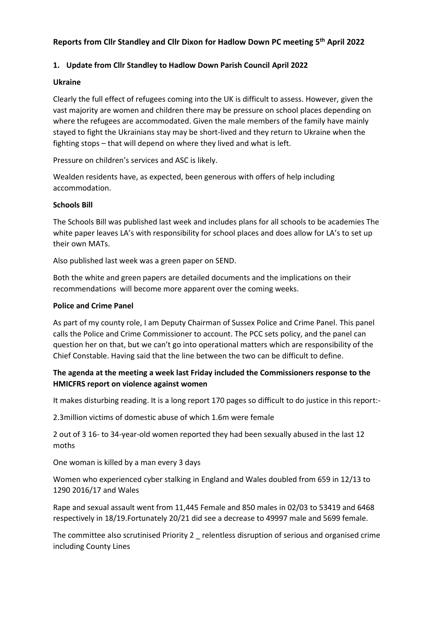# **Reports from Cllr Standley and Cllr Dixon for Hadlow Down PC meeting 5 th April 2022**

#### **1. Update from Cllr Standley to Hadlow Down Parish Council April 2022**

#### **Ukraine**

Clearly the full effect of refugees coming into the UK is difficult to assess. However, given the vast majority are women and children there may be pressure on school places depending on where the refugees are accommodated. Given the male members of the family have mainly stayed to fight the Ukrainians stay may be short-lived and they return to Ukraine when the fighting stops – that will depend on where they lived and what is left.

Pressure on children's services and ASC is likely.

Wealden residents have, as expected, been generous with offers of help including accommodation.

#### **Schools Bill**

The Schools Bill was published last week and includes plans for all schools to be academies The white paper leaves LA's with responsibility for school places and does allow for LA's to set up their own MATs.

Also published last week was a green paper on SEND.

Both the white and green papers are detailed documents and the implications on their recommendations will become more apparent over the coming weeks.

#### **Police and Crime Panel**

As part of my county role, I am Deputy Chairman of Sussex Police and Crime Panel. This panel calls the Police and Crime Commissioner to account. The PCC sets policy, and the panel can question her on that, but we can't go into operational matters which are responsibility of the Chief Constable. Having said that the line between the two can be difficult to define.

## **The agenda at the meeting a week last Friday included the Commissioners response to the HMICFRS report on violence against women**

It makes disturbing reading. It is a long report 170 pages so difficult to do justice in this report:-

2.3million victims of domestic abuse of which 1.6m were female

2 out of 3 16- to 34-year-old women reported they had been sexually abused in the last 12 moths

One woman is killed by a man every 3 days

Women who experienced cyber stalking in England and Wales doubled from 659 in 12/13 to 1290 2016/17 and Wales

Rape and sexual assault went from 11,445 Female and 850 males in 02/03 to 53419 and 6468 respectively in 18/19.Fortunately 20/21 did see a decrease to 49997 male and 5699 female.

The committee also scrutinised Priority 2 \_ relentless disruption of serious and organised crime including County Lines